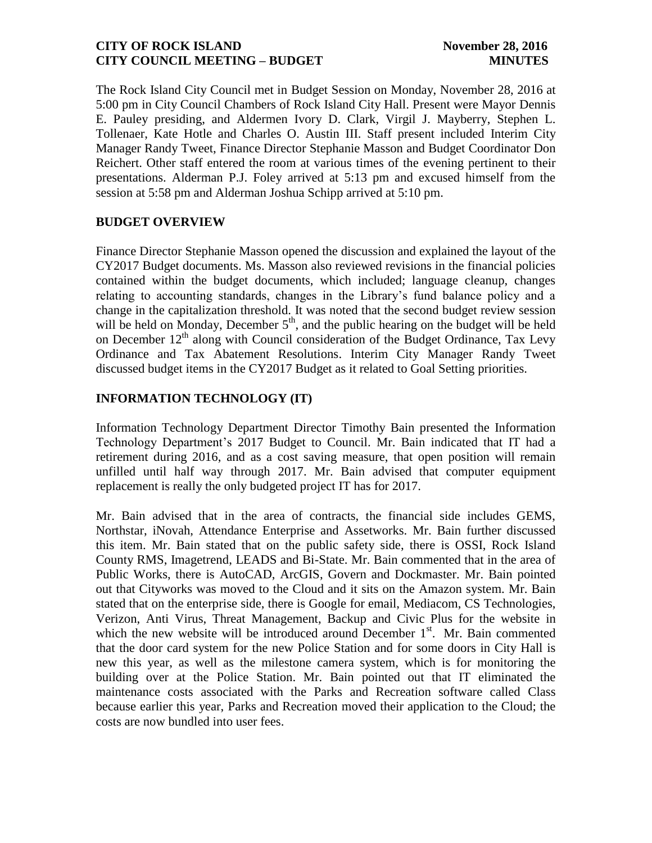The Rock Island City Council met in Budget Session on Monday, November 28, 2016 at 5:00 pm in City Council Chambers of Rock Island City Hall. Present were Mayor Dennis E. Pauley presiding, and Aldermen Ivory D. Clark, Virgil J. Mayberry, Stephen L. Tollenaer, Kate Hotle and Charles O. Austin III. Staff present included Interim City Manager Randy Tweet, Finance Director Stephanie Masson and Budget Coordinator Don Reichert. Other staff entered the room at various times of the evening pertinent to their presentations. Alderman P.J. Foley arrived at 5:13 pm and excused himself from the session at 5:58 pm and Alderman Joshua Schipp arrived at 5:10 pm.

# **BUDGET OVERVIEW**

Finance Director Stephanie Masson opened the discussion and explained the layout of the CY2017 Budget documents. Ms. Masson also reviewed revisions in the financial policies contained within the budget documents, which included; language cleanup, changes relating to accounting standards, changes in the Library's fund balance policy and a change in the capitalization threshold. It was noted that the second budget review session will be held on Monday, December  $5<sup>th</sup>$ , and the public hearing on the budget will be held on December  $12<sup>th</sup>$  along with Council consideration of the Budget Ordinance, Tax Levy Ordinance and Tax Abatement Resolutions. Interim City Manager Randy Tweet discussed budget items in the CY2017 Budget as it related to Goal Setting priorities.

# **INFORMATION TECHNOLOGY (IT)**

Information Technology Department Director Timothy Bain presented the Information Technology Department's 2017 Budget to Council. Mr. Bain indicated that IT had a retirement during 2016, and as a cost saving measure, that open position will remain unfilled until half way through 2017. Mr. Bain advised that computer equipment replacement is really the only budgeted project IT has for 2017.

Mr. Bain advised that in the area of contracts, the financial side includes GEMS, Northstar, iNovah, Attendance Enterprise and Assetworks. Mr. Bain further discussed this item. Mr. Bain stated that on the public safety side, there is OSSI, Rock Island County RMS, Imagetrend, LEADS and Bi-State. Mr. Bain commented that in the area of Public Works, there is AutoCAD, ArcGIS, Govern and Dockmaster. Mr. Bain pointed out that Cityworks was moved to the Cloud and it sits on the Amazon system. Mr. Bain stated that on the enterprise side, there is Google for email, Mediacom, CS Technologies, Verizon, Anti Virus, Threat Management, Backup and Civic Plus for the website in which the new website will be introduced around December  $1<sup>st</sup>$ . Mr. Bain commented that the door card system for the new Police Station and for some doors in City Hall is new this year, as well as the milestone camera system, which is for monitoring the building over at the Police Station. Mr. Bain pointed out that IT eliminated the maintenance costs associated with the Parks and Recreation software called Class because earlier this year, Parks and Recreation moved their application to the Cloud; the costs are now bundled into user fees.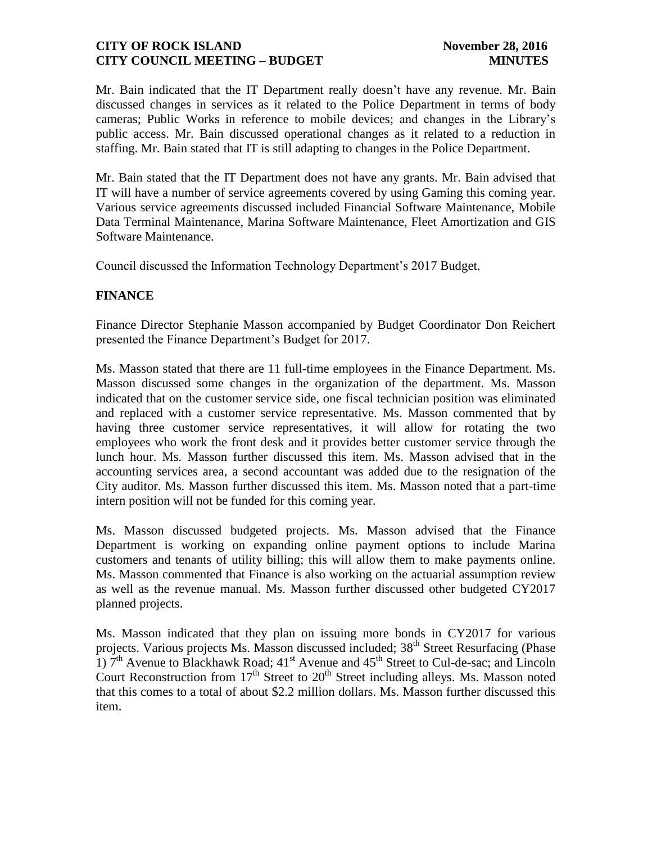Mr. Bain indicated that the IT Department really doesn't have any revenue. Mr. Bain discussed changes in services as it related to the Police Department in terms of body cameras; Public Works in reference to mobile devices; and changes in the Library's public access. Mr. Bain discussed operational changes as it related to a reduction in staffing. Mr. Bain stated that IT is still adapting to changes in the Police Department.

Mr. Bain stated that the IT Department does not have any grants. Mr. Bain advised that IT will have a number of service agreements covered by using Gaming this coming year. Various service agreements discussed included Financial Software Maintenance, Mobile Data Terminal Maintenance, Marina Software Maintenance, Fleet Amortization and GIS Software Maintenance.

Council discussed the Information Technology Department's 2017 Budget.

## **FINANCE**

Finance Director Stephanie Masson accompanied by Budget Coordinator Don Reichert presented the Finance Department's Budget for 2017.

Ms. Masson stated that there are 11 full-time employees in the Finance Department. Ms. Masson discussed some changes in the organization of the department. Ms. Masson indicated that on the customer service side, one fiscal technician position was eliminated and replaced with a customer service representative. Ms. Masson commented that by having three customer service representatives, it will allow for rotating the two employees who work the front desk and it provides better customer service through the lunch hour. Ms. Masson further discussed this item. Ms. Masson advised that in the accounting services area, a second accountant was added due to the resignation of the City auditor. Ms. Masson further discussed this item. Ms. Masson noted that a part-time intern position will not be funded for this coming year.

Ms. Masson discussed budgeted projects. Ms. Masson advised that the Finance Department is working on expanding online payment options to include Marina customers and tenants of utility billing; this will allow them to make payments online. Ms. Masson commented that Finance is also working on the actuarial assumption review as well as the revenue manual. Ms. Masson further discussed other budgeted CY2017 planned projects.

Ms. Masson indicated that they plan on issuing more bonds in CY2017 for various projects. Various projects Ms. Masson discussed included; 38<sup>th</sup> Street Resurfacing (Phase  $1)$   $7<sup>th</sup>$  Avenue to Blackhawk Road;  $41<sup>st</sup>$  Avenue and  $45<sup>th</sup>$  Street to Cul-de-sac; and Lincoln Court Reconstruction from  $17<sup>th</sup>$  Street to  $20<sup>th</sup>$  Street including alleys. Ms. Masson noted that this comes to a total of about \$2.2 million dollars. Ms. Masson further discussed this item.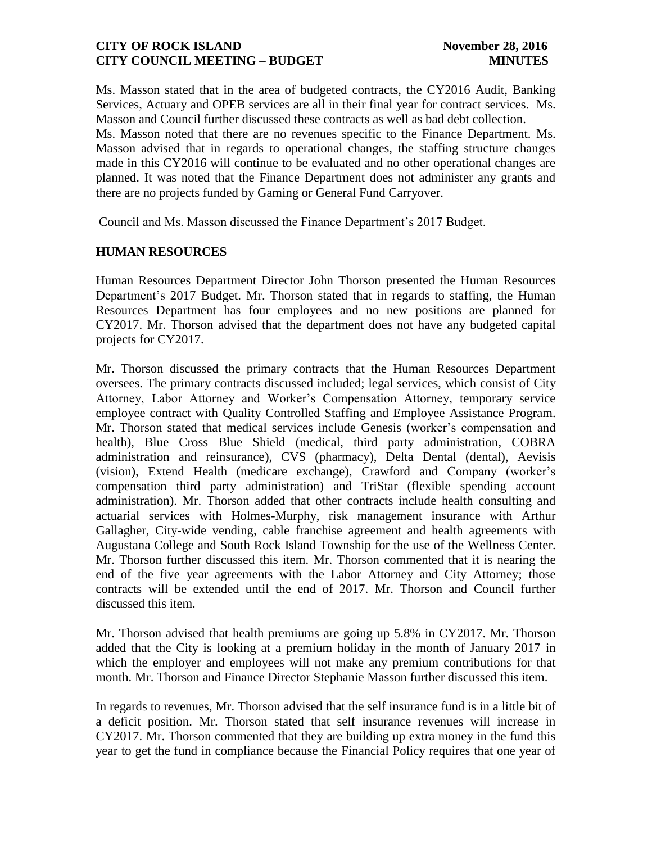Ms. Masson stated that in the area of budgeted contracts, the CY2016 Audit, Banking Services, Actuary and OPEB services are all in their final year for contract services. Ms. Masson and Council further discussed these contracts as well as bad debt collection.

Ms. Masson noted that there are no revenues specific to the Finance Department. Ms. Masson advised that in regards to operational changes, the staffing structure changes made in this CY2016 will continue to be evaluated and no other operational changes are planned. It was noted that the Finance Department does not administer any grants and there are no projects funded by Gaming or General Fund Carryover.

Council and Ms. Masson discussed the Finance Department's 2017 Budget.

### **HUMAN RESOURCES**

Human Resources Department Director John Thorson presented the Human Resources Department's 2017 Budget. Mr. Thorson stated that in regards to staffing, the Human Resources Department has four employees and no new positions are planned for CY2017. Mr. Thorson advised that the department does not have any budgeted capital projects for CY2017.

Mr. Thorson discussed the primary contracts that the Human Resources Department oversees. The primary contracts discussed included; legal services, which consist of City Attorney, Labor Attorney and Worker's Compensation Attorney, temporary service employee contract with Quality Controlled Staffing and Employee Assistance Program. Mr. Thorson stated that medical services include Genesis (worker's compensation and health), Blue Cross Blue Shield (medical, third party administration, COBRA administration and reinsurance), CVS (pharmacy), Delta Dental (dental), Aevisis (vision), Extend Health (medicare exchange), Crawford and Company (worker's compensation third party administration) and TriStar (flexible spending account administration). Mr. Thorson added that other contracts include health consulting and actuarial services with Holmes-Murphy, risk management insurance with Arthur Gallagher, City-wide vending, cable franchise agreement and health agreements with Augustana College and South Rock Island Township for the use of the Wellness Center. Mr. Thorson further discussed this item. Mr. Thorson commented that it is nearing the end of the five year agreements with the Labor Attorney and City Attorney; those contracts will be extended until the end of 2017. Mr. Thorson and Council further discussed this item.

Mr. Thorson advised that health premiums are going up 5.8% in CY2017. Mr. Thorson added that the City is looking at a premium holiday in the month of January 2017 in which the employer and employees will not make any premium contributions for that month. Mr. Thorson and Finance Director Stephanie Masson further discussed this item.

In regards to revenues, Mr. Thorson advised that the self insurance fund is in a little bit of a deficit position. Mr. Thorson stated that self insurance revenues will increase in CY2017. Mr. Thorson commented that they are building up extra money in the fund this year to get the fund in compliance because the Financial Policy requires that one year of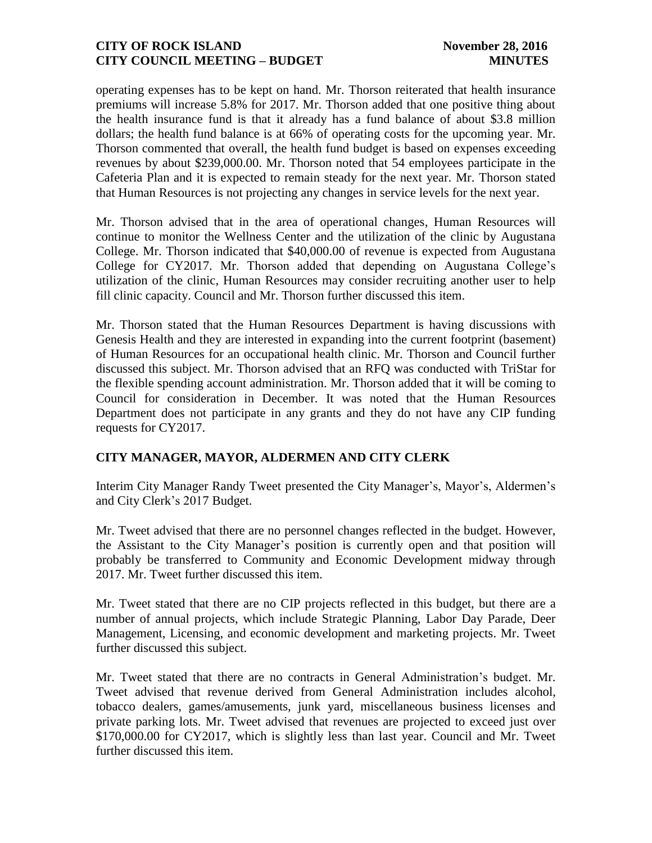operating expenses has to be kept on hand. Mr. Thorson reiterated that health insurance premiums will increase 5.8% for 2017. Mr. Thorson added that one positive thing about the health insurance fund is that it already has a fund balance of about \$3.8 million dollars; the health fund balance is at 66% of operating costs for the upcoming year. Mr. Thorson commented that overall, the health fund budget is based on expenses exceeding revenues by about \$239,000.00. Mr. Thorson noted that 54 employees participate in the Cafeteria Plan and it is expected to remain steady for the next year. Mr. Thorson stated that Human Resources is not projecting any changes in service levels for the next year.

Mr. Thorson advised that in the area of operational changes, Human Resources will continue to monitor the Wellness Center and the utilization of the clinic by Augustana College. Mr. Thorson indicated that \$40,000.00 of revenue is expected from Augustana College for CY2017. Mr. Thorson added that depending on Augustana College's utilization of the clinic, Human Resources may consider recruiting another user to help fill clinic capacity. Council and Mr. Thorson further discussed this item.

Mr. Thorson stated that the Human Resources Department is having discussions with Genesis Health and they are interested in expanding into the current footprint (basement) of Human Resources for an occupational health clinic. Mr. Thorson and Council further discussed this subject. Mr. Thorson advised that an RFQ was conducted with TriStar for the flexible spending account administration. Mr. Thorson added that it will be coming to Council for consideration in December. It was noted that the Human Resources Department does not participate in any grants and they do not have any CIP funding requests for CY2017.

## **CITY MANAGER, MAYOR, ALDERMEN AND CITY CLERK**

Interim City Manager Randy Tweet presented the City Manager's, Mayor's, Aldermen's and City Clerk's 2017 Budget.

Mr. Tweet advised that there are no personnel changes reflected in the budget. However, the Assistant to the City Manager's position is currently open and that position will probably be transferred to Community and Economic Development midway through 2017. Mr. Tweet further discussed this item.

Mr. Tweet stated that there are no CIP projects reflected in this budget, but there are a number of annual projects, which include Strategic Planning, Labor Day Parade, Deer Management, Licensing, and economic development and marketing projects. Mr. Tweet further discussed this subject.

Mr. Tweet stated that there are no contracts in General Administration's budget. Mr. Tweet advised that revenue derived from General Administration includes alcohol, tobacco dealers, games/amusements, junk yard, miscellaneous business licenses and private parking lots. Mr. Tweet advised that revenues are projected to exceed just over \$170,000.00 for CY2017, which is slightly less than last year. Council and Mr. Tweet further discussed this item.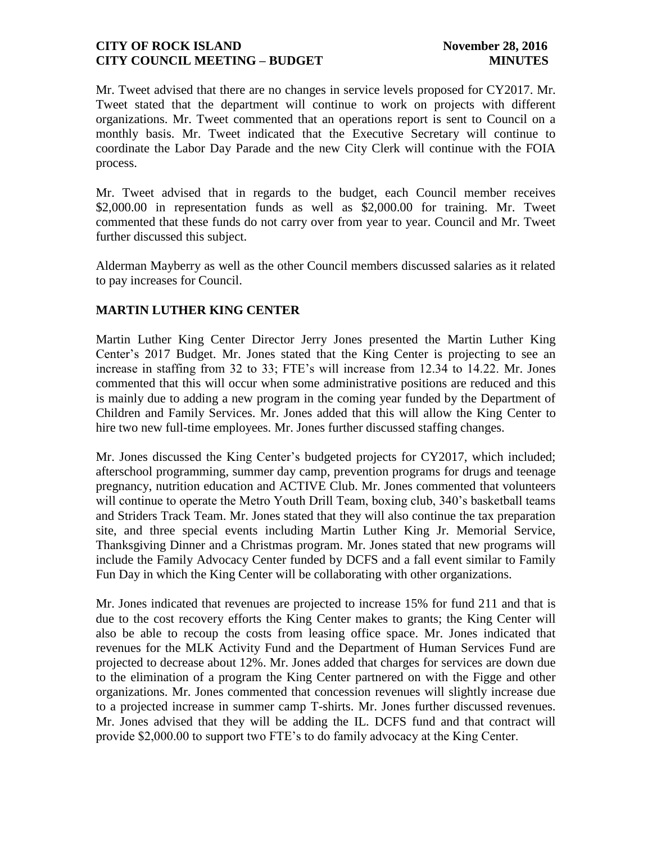Mr. Tweet advised that there are no changes in service levels proposed for CY2017. Mr. Tweet stated that the department will continue to work on projects with different organizations. Mr. Tweet commented that an operations report is sent to Council on a monthly basis. Mr. Tweet indicated that the Executive Secretary will continue to coordinate the Labor Day Parade and the new City Clerk will continue with the FOIA process.

Mr. Tweet advised that in regards to the budget, each Council member receives \$2,000.00 in representation funds as well as \$2,000.00 for training. Mr. Tweet commented that these funds do not carry over from year to year. Council and Mr. Tweet further discussed this subject.

Alderman Mayberry as well as the other Council members discussed salaries as it related to pay increases for Council.

# **MARTIN LUTHER KING CENTER**

Martin Luther King Center Director Jerry Jones presented the Martin Luther King Center's 2017 Budget. Mr. Jones stated that the King Center is projecting to see an increase in staffing from 32 to 33; FTE's will increase from 12.34 to 14.22. Mr. Jones commented that this will occur when some administrative positions are reduced and this is mainly due to adding a new program in the coming year funded by the Department of Children and Family Services. Mr. Jones added that this will allow the King Center to hire two new full-time employees. Mr. Jones further discussed staffing changes.

Mr. Jones discussed the King Center's budgeted projects for CY2017, which included; afterschool programming, summer day camp, prevention programs for drugs and teenage pregnancy, nutrition education and ACTIVE Club. Mr. Jones commented that volunteers will continue to operate the Metro Youth Drill Team, boxing club, 340's basketball teams and Striders Track Team. Mr. Jones stated that they will also continue the tax preparation site, and three special events including Martin Luther King Jr. Memorial Service, Thanksgiving Dinner and a Christmas program. Mr. Jones stated that new programs will include the Family Advocacy Center funded by DCFS and a fall event similar to Family Fun Day in which the King Center will be collaborating with other organizations.

Mr. Jones indicated that revenues are projected to increase 15% for fund 211 and that is due to the cost recovery efforts the King Center makes to grants; the King Center will also be able to recoup the costs from leasing office space. Mr. Jones indicated that revenues for the MLK Activity Fund and the Department of Human Services Fund are projected to decrease about 12%. Mr. Jones added that charges for services are down due to the elimination of a program the King Center partnered on with the Figge and other organizations. Mr. Jones commented that concession revenues will slightly increase due to a projected increase in summer camp T-shirts. Mr. Jones further discussed revenues. Mr. Jones advised that they will be adding the IL. DCFS fund and that contract will provide \$2,000.00 to support two FTE's to do family advocacy at the King Center.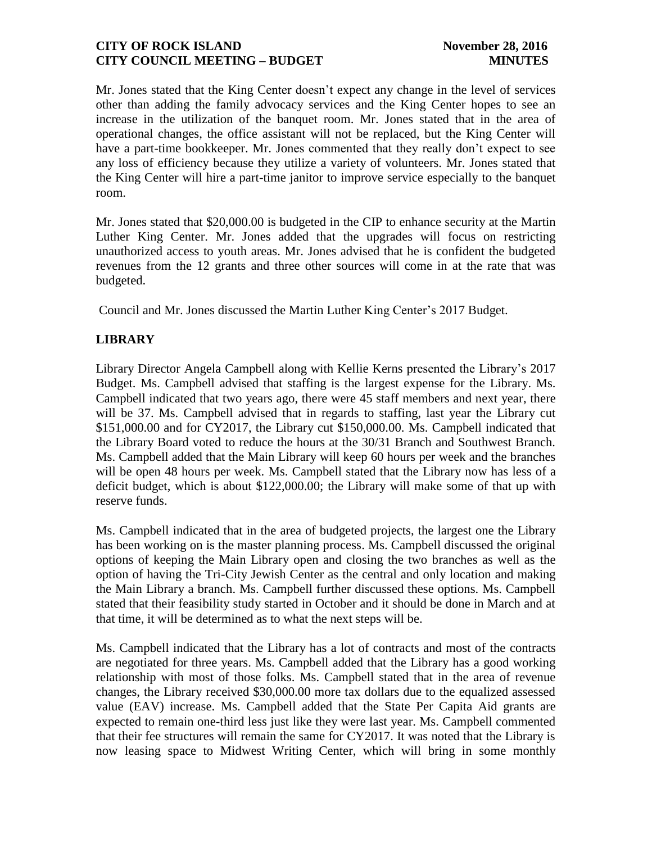Mr. Jones stated that the King Center doesn't expect any change in the level of services other than adding the family advocacy services and the King Center hopes to see an increase in the utilization of the banquet room. Mr. Jones stated that in the area of operational changes, the office assistant will not be replaced, but the King Center will have a part-time bookkeeper. Mr. Jones commented that they really don't expect to see any loss of efficiency because they utilize a variety of volunteers. Mr. Jones stated that the King Center will hire a part-time janitor to improve service especially to the banquet room.

Mr. Jones stated that \$20,000.00 is budgeted in the CIP to enhance security at the Martin Luther King Center. Mr. Jones added that the upgrades will focus on restricting unauthorized access to youth areas. Mr. Jones advised that he is confident the budgeted revenues from the 12 grants and three other sources will come in at the rate that was budgeted.

Council and Mr. Jones discussed the Martin Luther King Center's 2017 Budget.

# **LIBRARY**

Library Director Angela Campbell along with Kellie Kerns presented the Library's 2017 Budget. Ms. Campbell advised that staffing is the largest expense for the Library. Ms. Campbell indicated that two years ago, there were 45 staff members and next year, there will be 37. Ms. Campbell advised that in regards to staffing, last year the Library cut \$151,000.00 and for CY2017, the Library cut \$150,000.00. Ms. Campbell indicated that the Library Board voted to reduce the hours at the 30/31 Branch and Southwest Branch. Ms. Campbell added that the Main Library will keep 60 hours per week and the branches will be open 48 hours per week. Ms. Campbell stated that the Library now has less of a deficit budget, which is about \$122,000.00; the Library will make some of that up with reserve funds.

Ms. Campbell indicated that in the area of budgeted projects, the largest one the Library has been working on is the master planning process. Ms. Campbell discussed the original options of keeping the Main Library open and closing the two branches as well as the option of having the Tri-City Jewish Center as the central and only location and making the Main Library a branch. Ms. Campbell further discussed these options. Ms. Campbell stated that their feasibility study started in October and it should be done in March and at that time, it will be determined as to what the next steps will be.

Ms. Campbell indicated that the Library has a lot of contracts and most of the contracts are negotiated for three years. Ms. Campbell added that the Library has a good working relationship with most of those folks. Ms. Campbell stated that in the area of revenue changes, the Library received \$30,000.00 more tax dollars due to the equalized assessed value (EAV) increase. Ms. Campbell added that the State Per Capita Aid grants are expected to remain one-third less just like they were last year. Ms. Campbell commented that their fee structures will remain the same for CY2017. It was noted that the Library is now leasing space to Midwest Writing Center, which will bring in some monthly